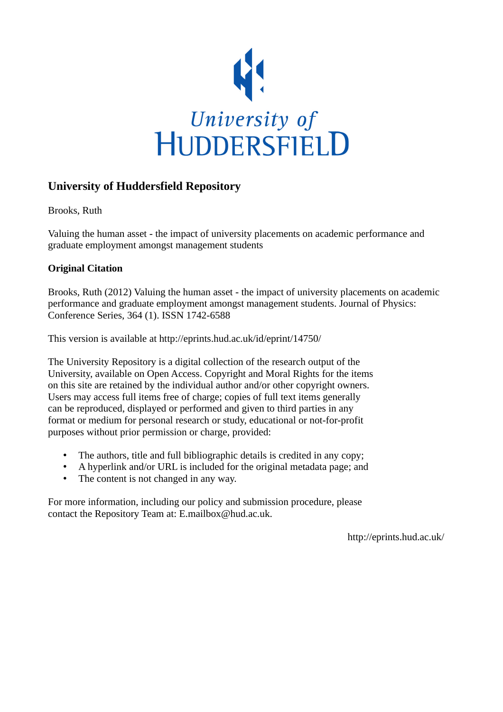

## **University of Huddersfield Repository**

Brooks, Ruth

Valuing the human asset - the impact of university placements on academic performance and graduate employment amongst management students

## **Original Citation**

Brooks, Ruth (2012) Valuing the human asset - the impact of university placements on academic performance and graduate employment amongst management students. Journal of Physics: Conference Series, 364 (1). ISSN 1742-6588

This version is available at http://eprints.hud.ac.uk/id/eprint/14750/

The University Repository is a digital collection of the research output of the University, available on Open Access. Copyright and Moral Rights for the items on this site are retained by the individual author and/or other copyright owners. Users may access full items free of charge; copies of full text items generally can be reproduced, displayed or performed and given to third parties in any format or medium for personal research or study, educational or not-for-profit purposes without prior permission or charge, provided:

- The authors, title and full bibliographic details is credited in any copy;
- A hyperlink and/or URL is included for the original metadata page; and
- The content is not changed in any way.

For more information, including our policy and submission procedure, please contact the Repository Team at: E.mailbox@hud.ac.uk.

http://eprints.hud.ac.uk/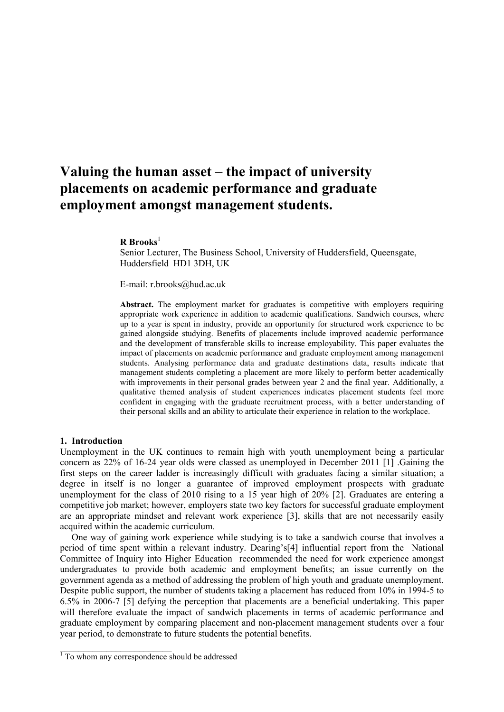# **Valuing the human asset – the impact of university placements on academic performance and graduate employment amongst management students.**

## **R Brooks**<sup>1</sup>

Senior Lecturer, The Business School, University of Huddersfield, Queensgate, Huddersfield HD1 3DH, UK

E-mail: r.brooks@hud.ac.uk

Abstract. The employment market for graduates is competitive with employers requiring appropriate work experience in addition to academic qualifications. Sandwich courses, where up to a year is spent in industry, provide an opportunity for structured work experience to be gained alongside studying. Benefits of placements include improved academic performance and the development of transferable skills to increase employability. This paper evaluates the impact of placements on academic performance and graduate employment among management students. Analysing performance data and graduate destinations data, results indicate that management students completing a placement are more likely to perform better academically with improvements in their personal grades between year 2 and the final year. Additionally, a qualitative themed analysis of student experiences indicates placement students feel more confident in engaging with the graduate recruitment process, with a better understanding of their personal skills and an ability to articulate their experience in relation to the workplace.

#### **1. Introduction**

Unemployment in the UK continues to remain high with youth unemployment being a particular concern as 22% of 16-24 year olds were classed as unemployed in December 2011 [1] .Gaining the first steps on the career ladder is increasingly difficult with graduates facing a similar situation; a degree in itself is no longer a guarantee of improved employment prospects with graduate unemployment for the class of 2010 rising to a 15 year high of 20% [2]. Graduates are entering a competitive job market; however, employers state two key factors for successful graduate employment are an appropriate mindset and relevant work experience [3], skills that are not necessarily easily acquired within the academic curriculum.

 One way of gaining work experience while studying is to take a sandwich course that involves a period of time spent within a relevant industry. Dearing's[4] influential report from the National Committee of Inquiry into Higher Education recommended the need for work experience amongst undergraduates to provide both academic and employment benefits; an issue currently on the government agenda as a method of addressing the problem of high youth and graduate unemployment. Despite public support, the number of students taking a placement has reduced from 10% in 1994-5 to 6.5% in 2006-7 [5] defying the perception that placements are a beneficial undertaking. This paper will therefore evaluate the impact of sandwich placements in terms of academic performance and graduate employment by comparing placement and non-placement management students over a four year period, to demonstrate to future students the potential benefits.

 $\mathcal{L}_\text{max}$  , where  $\mathcal{L}_\text{max}$ 

<sup>&</sup>lt;sup>1</sup> To whom any correspondence should be addressed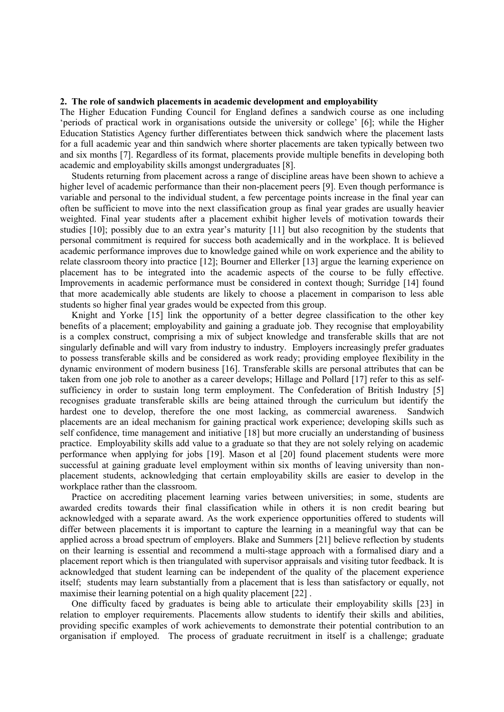## **2. The role of sandwich placements in academic development and employability**

The Higher Education Funding Council for England defines a sandwich course as one including 'periods of practical work in organisations outside the university or college' [6]; while the Higher Education Statistics Agency further differentiates between thick sandwich where the placement lasts for a full academic year and thin sandwich where shorter placements are taken typically between two and six months [7]. Regardless of its format, placements provide multiple benefits in developing both academic and employability skills amongst undergraduates [8].

 Students returning from placement across a range of discipline areas have been shown to achieve a higher level of academic performance than their non-placement peers [9]. Even though performance is variable and personal to the individual student, a few percentage points increase in the final year can often be sufficient to move into the next classification group as final year grades are usually heavier weighted. Final year students after a placement exhibit higher levels of motivation towards their studies [10]; possibly due to an extra year's maturity [11] but also recognition by the students that personal commitment is required for success both academically and in the workplace. It is believed academic performance improves due to knowledge gained while on work experience and the ability to relate classroom theory into practice [12]; Bourner and Ellerker [13] argue the learning experience on placement has to be integrated into the academic aspects of the course to be fully effective. Improvements in academic performance must be considered in context though; Surridge [14] found that more academically able students are likely to choose a placement in comparison to less able students so higher final year grades would be expected from this group.

 Knight and Yorke [15] link the opportunity of a better degree classification to the other key benefits of a placement; employability and gaining a graduate job. They recognise that employability is a complex construct, comprising a mix of subject knowledge and transferable skills that are not singularly definable and will vary from industry to industry. Employers increasingly prefer graduates to possess transferable skills and be considered as work ready; providing employee flexibility in the dynamic environment of modern business [16]. Transferable skills are personal attributes that can be taken from one job role to another as a career develops; Hillage and Pollard [17] refer to this as selfsufficiency in order to sustain long term employment. The Confederation of British Industry [5] recognises graduate transferable skills are being attained through the curriculum but identify the hardest one to develop, therefore the one most lacking, as commercial awareness. Sandwich placements are an ideal mechanism for gaining practical work experience; developing skills such as self confidence, time management and initiative [18] but more crucially an understanding of business practice. Employability skills add value to a graduate so that they are not solely relying on academic performance when applying for jobs [19]. Mason et al [20] found placement students were more successful at gaining graduate level employment within six months of leaving university than nonplacement students, acknowledging that certain employability skills are easier to develop in the workplace rather than the classroom.

 Practice on accrediting placement learning varies between universities; in some, students are awarded credits towards their final classification while in others it is non credit bearing but acknowledged with a separate award. As the work experience opportunities offered to students will differ between placements it is important to capture the learning in a meaningful way that can be applied across a broad spectrum of employers. Blake and Summers [21] believe reflection by students on their learning is essential and recommend a multi-stage approach with a formalised diary and a placement report which is then triangulated with supervisor appraisals and visiting tutor feedback. It is acknowledged that student learning can be independent of the quality of the placement experience itself; students may learn substantially from a placement that is less than satisfactory or equally, not maximise their learning potential on a high quality placement [22] .

 One difficulty faced by graduates is being able to articulate their employability skills [23] in relation to employer requirements. Placements allow students to identify their skills and abilities, providing specific examples of work achievements to demonstrate their potential contribution to an organisation if employed. The process of graduate recruitment in itself is a challenge; graduate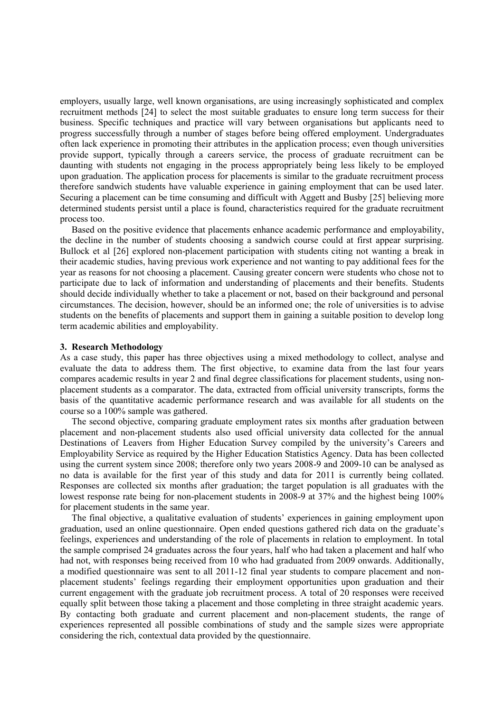employers, usually large, well known organisations, are using increasingly sophisticated and complex recruitment methods [24] to select the most suitable graduates to ensure long term success for their business. Specific techniques and practice will vary between organisations but applicants need to progress successfully through a number of stages before being offered employment. Undergraduates often lack experience in promoting their attributes in the application process; even though universities provide support, typically through a careers service, the process of graduate recruitment can be daunting with students not engaging in the process appropriately being less likely to be employed upon graduation. The application process for placements is similar to the graduate recruitment process therefore sandwich students have valuable experience in gaining employment that can be used later. Securing a placement can be time consuming and difficult with Aggett and Busby [25] believing more determined students persist until a place is found, characteristics required for the graduate recruitment process too.

 Based on the positive evidence that placements enhance academic performance and employability, the decline in the number of students choosing a sandwich course could at first appear surprising. Bullock et al [26] explored non-placement participation with students citing not wanting a break in their academic studies, having previous work experience and not wanting to pay additional fees for the year as reasons for not choosing a placement. Causing greater concern were students who chose not to participate due to lack of information and understanding of placements and their benefits. Students should decide individually whether to take a placement or not, based on their background and personal circumstances. The decision, however, should be an informed one; the role of universities is to advise students on the benefits of placements and support them in gaining a suitable position to develop long term academic abilities and employability.

#### **3. Research Methodology**

As a case study, this paper has three objectives using a mixed methodology to collect, analyse and evaluate the data to address them. The first objective, to examine data from the last four years compares academic results in year 2 and final degree classifications for placement students, using nonplacement students as a comparator. The data, extracted from official university transcripts, forms the basis of the quantitative academic performance research and was available for all students on the course so a 100% sample was gathered.

 The second objective, comparing graduate employment rates six months after graduation between placement and non-placement students also used official university data collected for the annual Destinations of Leavers from Higher Education Survey compiled by the university's Careers and Employability Service as required by the Higher Education Statistics Agency. Data has been collected using the current system since 2008; therefore only two years 2008-9 and 2009-10 can be analysed as no data is available for the first year of this study and data for 2011 is currently being collated. Responses are collected six months after graduation; the target population is all graduates with the lowest response rate being for non-placement students in 2008-9 at 37% and the highest being 100% for placement students in the same year.

 The final objective, a qualitative evaluation of students' experiences in gaining employment upon graduation, used an online questionnaire. Open ended questions gathered rich data on the graduate's feelings, experiences and understanding of the role of placements in relation to employment. In total the sample comprised 24 graduates across the four years, half who had taken a placement and half who had not, with responses being received from 10 who had graduated from 2009 onwards. Additionally, a modified questionnaire was sent to all 2011-12 final year students to compare placement and nonplacement students' feelings regarding their employment opportunities upon graduation and their current engagement with the graduate job recruitment process. A total of 20 responses were received equally split between those taking a placement and those completing in three straight academic years. By contacting both graduate and current placement and non-placement students, the range of experiences represented all possible combinations of study and the sample sizes were appropriate considering the rich, contextual data provided by the questionnaire.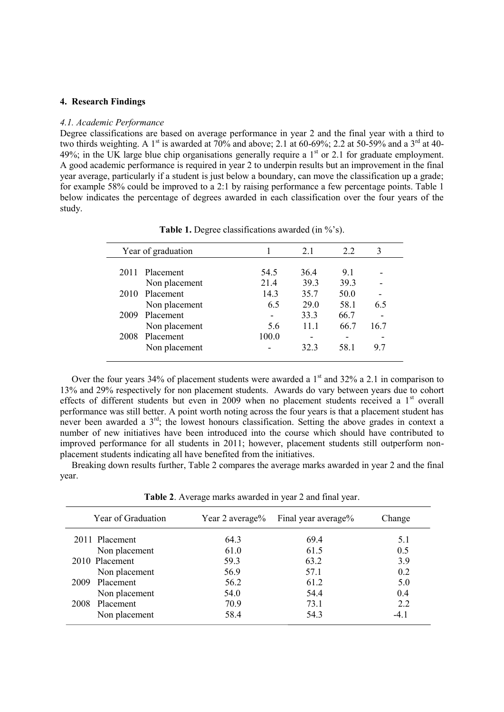## **4. Research Findings**

#### *4.1. Academic Performance*

Degree classifications are based on average performance in year 2 and the final year with a third to two thirds weighting. A 1<sup>st</sup> is awarded at 70% and above; 2.1 at 60-69%; 2.2 at 50-59% and a 3<sup>rd</sup> at 40-49%; in the UK large blue chip organisations generally require a  $1<sup>st</sup>$  or 2.1 for graduate employment. A good academic performance is required in year 2 to underpin results but an improvement in the final year average, particularly if a student is just below a boundary, can move the classification up a grade; for example 58% could be improved to a 2:1 by raising performance a few percentage points. Table 1 below indicates the percentage of degrees awarded in each classification over the four years of the study.

| Year of graduation |       | 21   | 2.2  | 3    |
|--------------------|-------|------|------|------|
| 2011 Placement     | 54.5  | 36.4 | 9.1  |      |
| Non placement      | 21.4  | 39.3 | 39.3 |      |
| 2010 Placement     | 14.3  | 35.7 | 50.0 |      |
| Non placement      | 6.5   | 29.0 | 58.1 | 6.5  |
| Placement<br>2009  |       | 33.3 | 66.7 |      |
| Non placement      | 5.6   | 111  | 66.7 | 16.7 |
| Placement<br>2008  | 100.0 |      |      |      |
| Non placement      |       | 323  | 58.1 | 9.7  |

**Table 1.** Degree classifications awarded (in %'s).

Over the four years 34% of placement students were awarded a  $1<sup>st</sup>$  and 32% a 2.1 in comparison to 13% and 29% respectively for non placement students. Awards do vary between years due to cohort effects of different students but even in 2009 when no placement students received a 1<sup>st</sup> overall performance was still better. A point worth noting across the four years is that a placement student has never been awarded a 3rd; the lowest honours classification. Setting the above grades in context a number of new initiatives have been introduced into the course which should have contributed to improved performance for all students in 2011; however, placement students still outperform nonplacement students indicating all have benefited from the initiatives.

 Breaking down results further, Table 2 compares the average marks awarded in year 2 and the final year.

**Table 2**. Average marks awarded in year 2 and final year.

| Year of Graduation | Year 2 average% | Final year average% | Change |
|--------------------|-----------------|---------------------|--------|
| 2011 Placement     | 64.3            | 69.4                | 5.1    |
| Non placement      | 61.0            | 61.5                | 0.5    |
| 2010 Placement     | 59.3            | 63.2                | 3.9    |
| Non placement      | 56.9            | 57.1                | 0.2    |
| 2009 Placement     | 56.2            | 61.2                | 5.0    |
| Non placement      | 54.0            | 54.4                | 0.4    |
| Placement<br>2008  | 70.9            | 73.1                | 2.2    |
| Non placement      | 58.4            | 54.3                | $-4.1$ |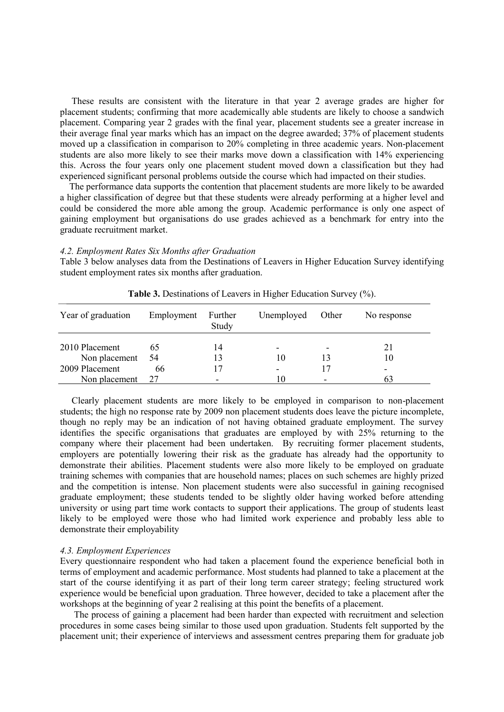These results are consistent with the literature in that year 2 average grades are higher for placement students; confirming that more academically able students are likely to choose a sandwich placement. Comparing year 2 grades with the final year, placement students see a greater increase in their average final year marks which has an impact on the degree awarded; 37% of placement students moved up a classification in comparison to 20% completing in three academic years. Non-placement students are also more likely to see their marks move down a classification with 14% experiencing this. Across the four years only one placement student moved down a classification but they had experienced significant personal problems outside the course which had impacted on their studies.

 The performance data supports the contention that placement students are more likely to be awarded a higher classification of degree but that these students were already performing at a higher level and could be considered the more able among the group. Academic performance is only one aspect of gaining employment but organisations do use grades achieved as a benchmark for entry into the graduate recruitment market.

#### *4.2. Employment Rates Six Months after Graduation*

Table 3 below analyses data from the Destinations of Leavers in Higher Education Survey identifying student employment rates six months after graduation.

| Year of graduation | Employment | Further<br>Study | Unemployed | Other | No response |
|--------------------|------------|------------------|------------|-------|-------------|
| 2010 Placement     | 65         | 14               |            |       | 21          |
| Non placement 54   |            | 13               | 10         |       | 10          |
| 2009 Placement     | 66         | 17               |            |       |             |
| Non placement      | 27         |                  | 10         | -     | 63          |

**Table 3.** Destinations of Leavers in Higher Education Survey (%).

 Clearly placement students are more likely to be employed in comparison to non-placement students; the high no response rate by 2009 non placement students does leave the picture incomplete, though no reply may be an indication of not having obtained graduate employment. The survey identifies the specific organisations that graduates are employed by with 25% returning to the company where their placement had been undertaken. By recruiting former placement students, employers are potentially lowering their risk as the graduate has already had the opportunity to demonstrate their abilities. Placement students were also more likely to be employed on graduate training schemes with companies that are household names; places on such schemes are highly prized and the competition is intense. Non placement students were also successful in gaining recognised graduate employment; these students tended to be slightly older having worked before attending university or using part time work contacts to support their applications. The group of students least likely to be employed were those who had limited work experience and probably less able to demonstrate their employability

#### *4.3. Employment Experiences*

Every questionnaire respondent who had taken a placement found the experience beneficial both in terms of employment and academic performance. Most students had planned to take a placement at the start of the course identifying it as part of their long term career strategy; feeling structured work experience would be beneficial upon graduation. Three however, decided to take a placement after the workshops at the beginning of year 2 realising at this point the benefits of a placement.

 The process of gaining a placement had been harder than expected with recruitment and selection procedures in some cases being similar to those used upon graduation. Students felt supported by the placement unit; their experience of interviews and assessment centres preparing them for graduate job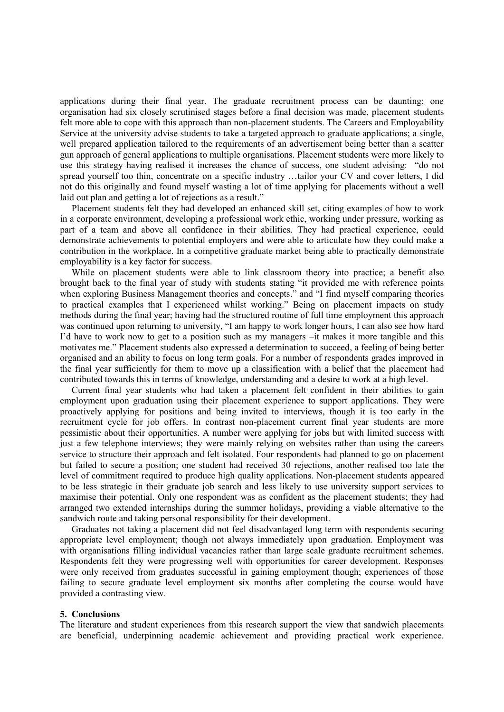applications during their final year. The graduate recruitment process can be daunting; one organisation had six closely scrutinised stages before a final decision was made, placement students felt more able to cope with this approach than non-placement students. The Careers and Employability Service at the university advise students to take a targeted approach to graduate applications; a single, well prepared application tailored to the requirements of an advertisement being better than a scatter gun approach of general applications to multiple organisations. Placement students were more likely to use this strategy having realised it increases the chance of success, one student advising: "do not spread yourself too thin, concentrate on a specific industry …tailor your CV and cover letters, I did not do this originally and found myself wasting a lot of time applying for placements without a well laid out plan and getting a lot of rejections as a result."

 Placement students felt they had developed an enhanced skill set, citing examples of how to work in a corporate environment, developing a professional work ethic, working under pressure, working as part of a team and above all confidence in their abilities. They had practical experience, could demonstrate achievements to potential employers and were able to articulate how they could make a contribution in the workplace. In a competitive graduate market being able to practically demonstrate employability is a key factor for success.

 While on placement students were able to link classroom theory into practice; a benefit also brought back to the final year of study with students stating "it provided me with reference points when exploring Business Management theories and concepts." and "I find myself comparing theories to practical examples that I experienced whilst working." Being on placement impacts on study methods during the final year; having had the structured routine of full time employment this approach was continued upon returning to university, "I am happy to work longer hours, I can also see how hard I'd have to work now to get to a position such as my managers –it makes it more tangible and this motivates me." Placement students also expressed a determination to succeed, a feeling of being better organised and an ability to focus on long term goals. For a number of respondents grades improved in the final year sufficiently for them to move up a classification with a belief that the placement had contributed towards this in terms of knowledge, understanding and a desire to work at a high level.

 Current final year students who had taken a placement felt confident in their abilities to gain employment upon graduation using their placement experience to support applications. They were proactively applying for positions and being invited to interviews, though it is too early in the recruitment cycle for job offers. In contrast non-placement current final year students are more pessimistic about their opportunities. A number were applying for jobs but with limited success with just a few telephone interviews; they were mainly relying on websites rather than using the careers service to structure their approach and felt isolated. Four respondents had planned to go on placement but failed to secure a position; one student had received 30 rejections, another realised too late the level of commitment required to produce high quality applications. Non-placement students appeared to be less strategic in their graduate job search and less likely to use university support services to maximise their potential. Only one respondent was as confident as the placement students; they had arranged two extended internships during the summer holidays, providing a viable alternative to the sandwich route and taking personal responsibility for their development.

 Graduates not taking a placement did not feel disadvantaged long term with respondents securing appropriate level employment; though not always immediately upon graduation. Employment was with organisations filling individual vacancies rather than large scale graduate recruitment schemes. Respondents felt they were progressing well with opportunities for career development. Responses were only received from graduates successful in gaining employment though; experiences of those failing to secure graduate level employment six months after completing the course would have provided a contrasting view.

#### **5. Conclusions**

The literature and student experiences from this research support the view that sandwich placements are beneficial, underpinning academic achievement and providing practical work experience.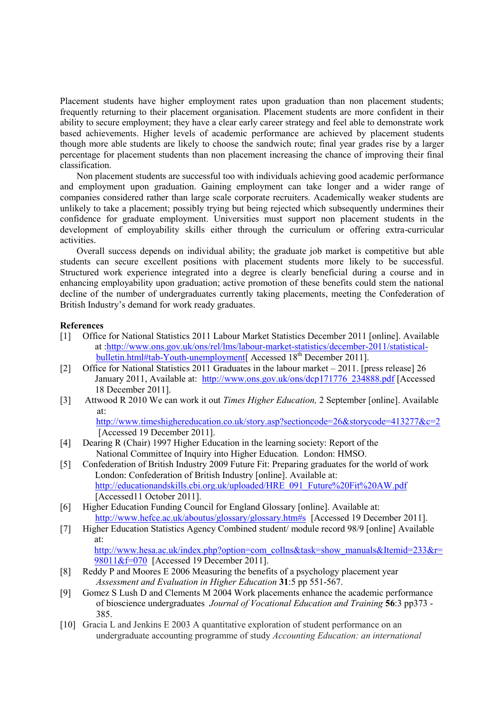Placement students have higher employment rates upon graduation than non placement students; frequently returning to their placement organisation. Placement students are more confident in their ability to secure employment; they have a clear early career strategy and feel able to demonstrate work based achievements. Higher levels of academic performance are achieved by placement students though more able students are likely to choose the sandwich route; final year grades rise by a larger percentage for placement students than non placement increasing the chance of improving their final classification.

 Non placement students are successful too with individuals achieving good academic performance and employment upon graduation. Gaining employment can take longer and a wider range of companies considered rather than large scale corporate recruiters. Academically weaker students are unlikely to take a placement; possibly trying but being rejected which subsequently undermines their confidence for graduate employment. Universities must support non placement students in the development of employability skills either through the curriculum or offering extra-curricular activities.

 Overall success depends on individual ability; the graduate job market is competitive but able students can secure excellent positions with placement students more likely to be successful. Structured work experience integrated into a degree is clearly beneficial during a course and in enhancing employability upon graduation; active promotion of these benefits could stem the national decline of the number of undergraduates currently taking placements, meeting the Confederation of British Industry's demand for work ready graduates.

#### **References**

- [1] Office for National Statistics 2011 Labour Market Statistics December 2011 [online]. Available at [:http://www.ons.gov.uk/ons/rel/lms/labour-market-statistics/december-2011/statistical](http://www.ons.gov.uk/ons/rel/lms/labour-market-statistics/december-2011/statistical-bulletin.html#tab-Youth-unemployment)[bulletin.html#tab-Youth-unemployment\[](http://www.ons.gov.uk/ons/rel/lms/labour-market-statistics/december-2011/statistical-bulletin.html#tab-Youth-unemployment) Accessed 18<sup>th</sup> December 2011].
- [2] Office for National Statistics 2011 Graduates in the labour market 2011. [press release] 26 January 2011, Available at: [http://www.ons.gov.uk/ons/dcp171776\\_234888.pdf](http://www.ons.gov.uk/ons/dcp171776_234888.pdf) [Accessed] 18 December 2011].
- [3] Attwood R 2010 We can work it out *Times Higher Education,* 2 September [online]. Available at:

<http://www.timeshighereducation.co.uk/story.asp?sectioncode=26&storycode=413277&c=2> [Accessed 19 December 2011].

- [4] Dearing R (Chair) 1997 Higher Education in the learning society: Report of the National Committee of Inquiry into Higher Education*.* London: HMSO.
- [5] Confederation of British Industry 2009 Future Fit: Preparing graduates for the world of work London: Confederation of British Industry [online]. Available at: [http://educationandskills.cbi.org.uk/uploaded/HRE\\_091\\_Future%20Fit%20AW.pdf](http://educationandskills.cbi.org.uk/uploaded/HRE_091_Future%20Fit%20AW.pdf) [Accessed11 October 2011].
- [6] Higher Education Funding Council for England Glossary [online]. Available at: <http://www.hefce.ac.uk/aboutus/glossary/glossary.htm#s>[Accessed 19 December 2011].
- [7] Higher Education Statistics Agency Combined student/ module record 98/9 [online] Available at: [http://www.hesa.ac.uk/index.php?option=com\\_collns&task=show\\_manuals&Itemid=233&r=](http://www.hesa.ac.uk/index.php?option=com_collns&task=show_manuals&Itemid=233&r=98011&f=070) [98011&f=070](http://www.hesa.ac.uk/index.php?option=com_collns&task=show_manuals&Itemid=233&r=98011&f=070) [Accessed 19 December 2011].
- [8] Reddy P and Moores E 2006 Measuring the benefits of a psychology placement year *Assessment and Evaluation in Higher Education* **31**:5 pp 551-567.
- [9] Gomez S Lush D and Clements M 2004 Work placements enhance the academic performance of bioscience undergraduates *Journal of Vocational Education and Training* **56**:3 pp373 - 385.
- [10] Gracia L and Jenkins E 2003 A quantitative exploration of student performance on an undergraduate accounting programme of study *Accounting Education: an international*